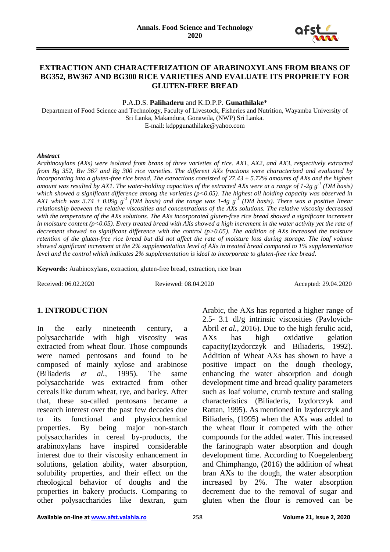

## **EXTRACTION AND CHARACTERIZATION OF ARABINOXYLANS FROM BRANS OF BG352, BW367 AND BG300 RICE VARIETIES AND EVALUATE ITS PROPRIETY FOR GLUTEN-FREE BREAD**

P.A.D.S. **Palihaderu** and K.D.P.P. **Gunathilake**\*

Department of Food Science and Technology, Faculty of Livestock, Fisheries and Nutrition, Wayamba University of Sri Lanka, Makandura, Gonawila, (NWP) Sri Lanka. E-mail: kdppgunathilake@yahoo.com

#### *Abstract*

*Arabinoxylans (AXs) were isolated from brans of three varieties of rice. AX1, AX2, and AX3, respectively extracted from Bg 352, Bw 367 and Bg 300 rice varieties. The different AXs fractions were characterized and evaluated by incorporating into a gluten-free rice bread. The extractions consisted of 27.43 ± 5.72% amounts of AXs and the highest amount was resulted by AX1. The water-holding capacities of the extracted AXs were at a range of 1-2g g-1 (DM basis) which showed a significant difference among the varieties (p<0.05). The highest oil holding capacity was observed in AX1 which was 3.74 ± 0.09g g-1 (DM basis) and the range was 1-4g g-1 (DM basis). There was a positive linear relationship between the relative viscosities and concentrations of the AXs solutions. The relative viscosity decreased with the temperature of the AXs solutions. The AXs incorporated gluten-free rice bread showed a significant increment in moisture content (p<0.05). Every treated bread with AXs showed a high increment in the water activity yet the rate of decrement showed no significant difference with the control (p>0.05). The addition of AXs increased the moisture retention of the gluten-free rice bread but did not affect the rate of moisture loss during storage. The loaf volume showed significant increment at the 2% supplementation level of AXs in treated bread compared to 1% supplementation level and the control which indicates 2% supplementation is ideal to incorporate to gluten-free rice bread.*

**Keywords:** Arabinoxylans, extraction, gluten-free bread, extraction, rice bran

Received: 06.02.2020 Reviewed: 08.04.2020 Accepted: 29.04.2020

## **1. INTRODUCTION**

In the early nineteenth century, a polysaccharide with high viscosity was extracted from wheat flour. Those compounds were named pentosans and found to be composed of mainly xylose and arabinose (Biliaderis *et al.*, 1995). The same polysaccharide was extracted from other cereals like durum wheat, rye, and barley. After that, these so-called pentosans became a research interest over the past few decades due to its functional and physicochemical properties. By being major non-starch polysaccharides in cereal by-products, the arabinoxylans have inspired considerable interest due to their viscosity enhancement in solutions, gelation ability, water absorption, solubility properties, and their effect on the rheological behavior of doughs and the properties in bakery products. Comparing to other polysaccharides like dextran, gum

Arabic, the AXs has reported a higher range of 2.5- 3.1 dl/g intrinsic viscosities (Pavlovich-Abril *et al.*, 2016). Due to the high ferulic acid, AXs has high oxidative gelation capacity(Izydorczyk and Biliaderis, 1992). Addition of Wheat AXs has shown to have a positive impact on the dough rheology, enhancing the water absorption and dough development time and bread quality parameters such as loaf volume, crumb texture and staling characteristics (Biliaderis, Izydorczyk and Rattan, 1995). As mentioned in Izydorczyk and Biliaderis, (1995) when the AXs was added to the wheat flour it competed with the other compounds for the added water. This increased the farinograph water absorption and dough development time. According to Koegelenberg and Chimphango, (2016) the addition of wheat bran AXs to the dough, the water absorption increased by 2%. The water absorption decrement due to the removal of sugar and gluten when the flour is removed can be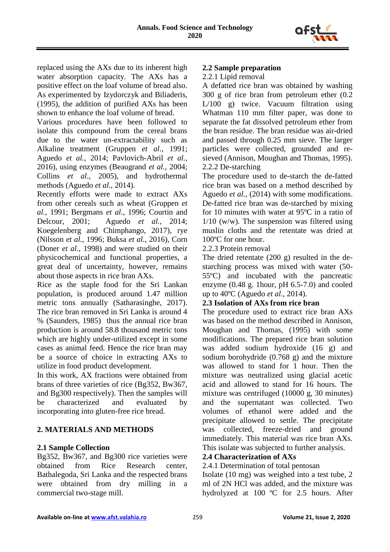

replaced using the AXs due to its inherent high water absorption capacity. The AXs has a positive effect on the loaf volume of bread also. As experimented by Izydorczyk and Biliaderis, (1995), the addition of purified AXs has been shown to enhance the loaf volume of bread.

Various procedures have been followed to isolate this compound from the cereal brans due to the water un-extractability such as Alkaline treatment (Gruppen *et al*., 1991; Aguedo *et al.*, 2014; Pavlovich-Abril *et al.*, 2016), using enzymes (Beaugrand *et al.*, 2004; Collins *et al*., 2005), and hydrothermal methods (Aguedo *et al.*, 2014).

Recently efforts were made to extract AXs from other cereals such as wheat (Gruppen *et al.*, 1991; Bergmans *et al.*, 1996; Courtin and Delcour, 2001; Aguedo *et al.*, 2014; Koegelenberg and Chimphango, 2017), rye (Nilsson *et al.*, 1996; Buksa *et al.*, 2016), Corn (Doner *et al.*, 1998) and were studied on their physicochemical and functional properties, a great deal of uncertainty, however, remains about those aspects in rice bran AXs.

Rice as the staple food for the Sri Lankan population, is produced around 1.47 million metric tons annually (Satharasinghe, 2017). The rice bran removed in Sri Lanka is around 4 % (Saunders, 1985) thus the annual rice bran production is around 58.8 thousand metric tons which are highly under-utilized except in some cases as animal feed. Hence the rice bran may be a source of choice in extracting AXs to utilize in food product development.

In this work, AX fractions were obtained from brans of three varieties of rice (Bg352, Bw367, and Bg300 respectively). Then the samples will be characterized and evaluated by incorporating into gluten-free rice bread.

# **2. MATERIALS AND METHODS**

## **2.1 Sample Collection**

Bg352, Bw367, and Bg300 rice varieties were obtained from Rice Research center, Bathalegoda, Sri Lanka and the respected brans were obtained from dry milling in a commercial two-stage mill.

## **2.2 Sample preparation**

2.2.1 Lipid removal

A defatted rice bran was obtained by washing 300 g of rice bran from petroleum ether (0.2 L/100 g) twice. Vacuum filtration using Whatman 110 mm filter paper, was done to separate the fat dissolved petroleum ether from the bran residue. The bran residue was air-dried and passed through 0.25 mm sieve. The larger particles were collected, grounded and resieved (Annison, Moughan and Thomas, 1995). 2.2.2 De-starching

The procedure used to de-starch the de-fatted rice bran was based on a method described by Aguedo *et al.*, (2014) with some modifications. De-fatted rice bran was de-starched by mixing for 10 minutes with water at 95ºC in a ratio of  $1/10$  (w/w). The suspension was filtered using muslin cloths and the retentate was dried at 100ºC for one hour.

2.2.3 Protein removal

The dried retentate (200 g) resulted in the destarching process was mixed with water (50- 55ºC) and incubated with the pancreatic enzyme (0.48 g. 1hour, pH 6.5-7.0) and cooled up to 40ºC (Aguedo *et al.*, 2014).

## **2.3 Isolation of AXs from rice bran**

The procedure used to extract rice bran AXs was based on the method described in Annison, Moughan and Thomas, (1995) with some modifications. The prepared rice bran solution was added sodium hydroxide (16 g) and sodium borohydride (0.768 g) and the mixture was allowed to stand for 1 hour. Then the mixture was neutralized using glacial acetic acid and allowed to stand for 16 hours. The mixture was centrifuged (10000 g, 30 minutes) and the supernatant was collected. Two volumes of ethanol were added and the precipitate allowed to settle. The precipitate was collected, freeze-dried and ground immediately. This material was rice bran AXs. This isolate was subjected to further analysis.

# **2.4 Characterization of AXs**

2.4.1 Determination of total pentosan

Isolate (10 mg) was weighed into a test tube, 2 ml of 2N HCl was added, and the mixture was hydrolyzed at 100 ºC for 2.5 hours. After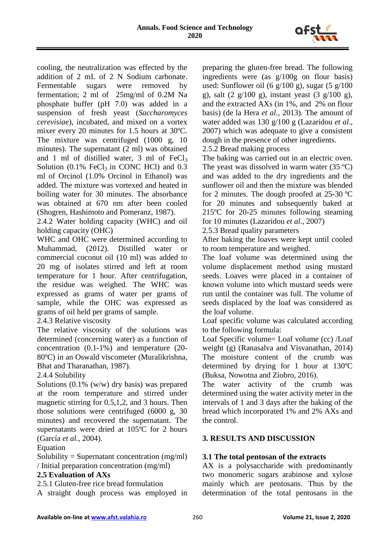

cooling, the neutralization was effected by the addition of 2 mL of 2 N Sodium carbonate. Fermentable sugars were removed by fermentation; 2 ml of 25mg/ml of 0.2M Na phosphate buffer (pH 7.0) was added in a suspension of fresh yeast (*Saccharomyces cerevisiae*), incubated, and mixed on a vortex mixer every 20 minutes for 1.5 hours at 30ºC. The mixture was centrifuged (1000 g, 10 minutes). The supernatant (2 ml) was obtained and 1 ml of distilled water, 3 ml of  $FeCl<sub>3</sub>$ Solution  $(0.1\% \text{ FeCl}_3 \text{ in CONC HCl})$  and  $0.3$ ml of Orcinol (1.0% Orcinol in Ethanol) was added. The mixture was vortexed and heated in boiling water for 30 minutes. The absorbance was obtained at 670 nm after been cooled (Shogren, Hashimoto and Pomeranz, 1987).

2.4.2 Water holding capacity (WHC) and oil holding capacity (OHC)

WHC and OHC were determined according to Muhammad, (2012). Distilled water or commercial coconut oil (10 ml) was added to 20 mg of isolates stirred and left at room temperature for 1 hour. After centrifugation, the residue was weighed. The WHC was expressed as grams of water per grams of sample, while the OHC was expressed as grams of oil held per grams of sample.

2.4.3 Relative viscosity

The relative viscosity of the solutions was determined (concerning water) as a function of concentration (0.1-1%) and temperature (20- 80ºC) in an Oswald viscometer (Muralikrishna, Bhat and Tharanathan, 1987).

# 2.4.4 Solubility

Solutions (0.1% (w/w) dry basis) was prepared at the room temperature and stirred under magnetic stirring for 0.5,1,2, and 3 hours. Then those solutions were centrifuged (6000 g, 30 minutes) and recovered the supernatant. The supernatants were dried at 105ºC for 2 hours (García *et al.*, 2004).

## Equation

Solubility = Supernatant concentration  $(mg/ml)$ / Initial preparation concentration (mg/ml)

# **2.5 Evaluation of AXs**

2.5.1 Gluten-free rice bread formulation

A straight dough process was employed in

preparing the gluten-free bread. The following ingredients were (as g/100g on flour basis) used: Sunflower oil (6  $g/100 g$ ), sugar (5  $g/100$ g), salt (2 g/100 g), instant yeast (3 g/100 g), and the extracted AXs (in 1%, and 2% on flour basis) (de la Hera *et al.*, 2013). The amount of water added was 130 g/100 g (Lazaridou *et al*., 2007) which was adequate to give a consistent dough in the presence of other ingredients.

2.5.2 Bread making process

The baking was carried out in an electric oven. The yeast was dissolved in warm water  $(35 \text{ °C})$ and was added to the dry ingredients and the sunflower oil and then the mixture was blended for 2 minutes. The dough proofed at 25-30 ºC for 20 minutes and subsequently baked at 215ºC for 20-25 minutes following steaming for 10 minutes (Lazaridou *et al.*, 2007)

2.5.3 Bread quality parameters

After baking the loaves were kept until cooled to room temperature and weighed.

The loaf volume was determined using the volume displacement method using mustard seeds. Loaves were placed in a container of known volume into which mustard seeds were run until the container was full. The volume of seeds displaced by the loaf was considered as the loaf volume.

Loaf specific volume was calculated according to the following formula:

Loaf Specific volume= Loaf volume (cc) /Loaf weight (g) (Ranasalva and Visvanathan, 2014) The moisture content of the crumb was determined by drying for 1 hour at 130ºC (Buksa, Nowotna and Ziobro, 2016).

The water activity of the crumb was determined using the water activity meter in the intervals of 1 and 3 days after the baking of the bread which incorporated 1% and 2% AXs and the control.

# **3. RESULTS AND DISCUSSION**

# **3.1 The total pentosan of the extracts**

AX is a polysaccharide with predominantly two monomeric sugars arabinose and xylose mainly which are pentosans. Thus by the determination of the total pentosans in the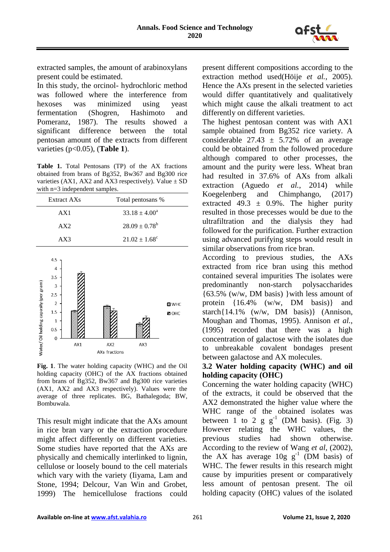

extracted samples, the amount of arabinoxylans present could be estimated.

In this study, the orcinol- hydrochloric method was followed where the interference from hexoses was minimized using yeast fermentation (Shogren, Hashimoto and Pomeranz, 1987). The results showed a significant difference between the total pentosan amount of the extracts from different varieties (p<0.05), (**Table 1**).

**Table 1.** Total Pentosans (TP) of the AX fractions obtained from brans of Bg352, Bw367 and Bg300 rice varieties (AX1, AX2 and AX3 respectively). Value  $\pm$  SD with n=3 independent samples.

| Extract AXs | Total pentosans %        |
|-------------|--------------------------|
| AX1         | $33.18 \pm 4.00^a$       |
| AX2         | $28.09 \pm 0.78^b$       |
| AX3         | $21.02 \pm 1.68^{\circ}$ |



**Fig. 1**. The water holding capacity (WHC) and the Oil holding capacity (OHC) of the AX fractions obtained from brans of Bg352, Bw367 and Bg300 rice varieties (AX1, AX2 and AX3 respectively). Values were the average of three replicates. BG, Bathalegoda; BW, Bombuwala.

This result might indicate that the AXs amount in rice bran vary or the extraction procedure might affect differently on different varieties. Some studies have reported that the AXs are physically and chemically interlinked to lignin, cellulose or loosely bound to the cell materials which vary with the variety (Iiyama, Lam and Stone, 1994; Delcour, Van Win and Grobet, 1999) The hemicellulose fractions could

present different compositions according to the extraction method used(Höije *et al.*, 2005). Hence the AXs present in the selected varieties would differ quantitatively and qualitatively which might cause the alkali treatment to act differently on different varieties.

The highest pentosan content was with AX1 sample obtained from Bg352 rice variety. A considerable  $27.43 \pm 5.72\%$  of an average could be obtained from the followed procedure although compared to other processes, the amount and the purity were less. Wheat bran had resulted in 37.6% of AXs from alkali extraction (Aguedo *et al.*, 2014) while Koegelenberg and Chimphango, (2017) extracted 49.3  $\pm$  0.9%. The higher purity resulted in those precesses would be due to the ultrafiltration and the dialysis they had followed for the purification. Further extraction using advanced purifying steps would result in similar observations from rice bran.

According to previous studies, the AXs extracted from rice bran using this method contained several impurities The isolates were predominantly non-starch polysaccharides {63.5% (w/w, DM basis) }with less amount of protein {16.4% (w/w, DM basis)} and starch{14.1% (w/w, DM basis)} (Annison, Moughan and Thomas, 1995). Annison *et al.*, (1995) recorded that there was a high concentration of galactose with the isolates due to unbreakable covalent bondages present between galactose and AX molecules.

## **3.2 Water holding capacity (WHC) and oil holding capacity (OHC)**

Concerning the water holding capacity (WHC) of the extracts, it could be observed that the AX2 demonstrated the higher value where the WHC range of the obtained isolates was between 1 to 2  $g g^{-1}$  (DM basis). (Fig. 3) However relating the WHC values, the previous studies had shown otherwise. According to the review of Wang *et al*, (2002), the AX has average  $10g g^{-1}$  (DM basis) of WHC. The fewer results in this research might cause by impurities present or comparatively less amount of pentosan present. The oil holding capacity (OHC) values of the isolated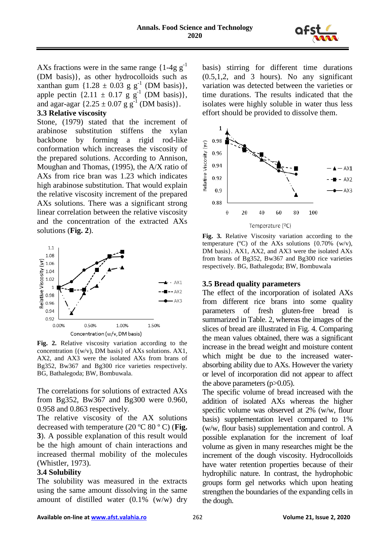

AXs fractions were in the same range  ${1-4g g^{-1}}$ (DM basis)}, as other hydrocolloids such as xanthan gum  $\{1.28 \pm 0.03 \text{ g g}^{-1} \text{ (DM basis)}\},$ apple pectin  $\{2.11 \pm 0.17 \text{ g g}^{-1} \text{ (DM basis)}\},$ and agar-agar  $\{2.25 \pm 0.07 \text{ g g}^{-1} \text{ (DM basis)}\}.$ 

#### **3.3 Relative viscosity**

Stone, (1979) stated that the increment of arabinose substitution stiffens the xylan backbone by forming a rigid rod-like conformation which increases the viscosity of the prepared solutions. According to Annison, Moughan and Thomas, (1995), the A/X ratio of AXs from rice bran was 1.23 which indicates high arabinose substitution. That would explain the relative viscosity increment of the prepared AXs solutions. There was a significant strong linear correlation between the relative viscosity and the concentration of the extracted AXs solutions (**Fig. 2**).



**Fig. 2.** Relative viscosity variation according to the concentration  $\{(w/v), DM basis\}$  of AXs solutions. AX1, AX2, and AX3 were the isolated AXs from brans of Bg352, Bw367 and Bg300 rice varieties respectively. BG, Bathalegoda; BW, Bombuwala.

The correlations for solutions of extracted AXs from Bg352, Bw367 and Bg300 were 0.960, 0.958 and 0.863 respectively.

The relative viscosity of the AX solutions decreased with temperature (20 ºC 80 º C) (**Fig. 3**). A possible explanation of this result would be the high amount of chain interactions and increased thermal mobility of the molecules (Whistler, 1973).

#### **3.4 Solubility**

The solubility was measured in the extracts using the same amount dissolving in the same amount of distilled water (0.1% (w/w) dry basis) stirring for different time durations (0.5,1,2, and 3 hours). No any significant variation was detected between the varieties or time durations. The results indicated that the isolates were highly soluble in water thus less effort should be provided to dissolve them.



**Fig. 3.** Relative Viscosity variation according to the temperature ( $\degree$ C) of the AXs solutions {0.70% (w/v), DM basis}. AX1, AX2, and AX3 were the isolated AXs from brans of Bg352, Bw367 and Bg300 rice varieties respectively. BG, Bathalegoda; BW, Bombuwala

#### **3.5 Bread quality parameters**

The effect of the incorporation of isolated AXs from different rice brans into some quality parameters of fresh gluten-free bread is summarized in Table. 2, whereas the images of the slices of bread are illustrated in Fig. 4. Comparing the mean values obtained, there was a significant increase in the bread weight and moisture content which might be due to the increased waterabsorbing ability due to AXs. However the variety or level of incorporation did not appear to affect the above parameters (p>0.05).

The specific volume of bread increased with the addition of isolated AXs whereas the higher specific volume was observed at 2% (w/w, flour basis) supplementation level compared to 1% (w/w, flour basis) supplementation and control. A possible explanation for the increment of loaf volume as given in many researches might be the increment of the dough viscosity. Hydrocolloids have water retention properties because of their hydrophilic nature. In contrast, the hydrophobic groups form gel networks which upon heating strengthen the boundaries of the expanding cells in the dough.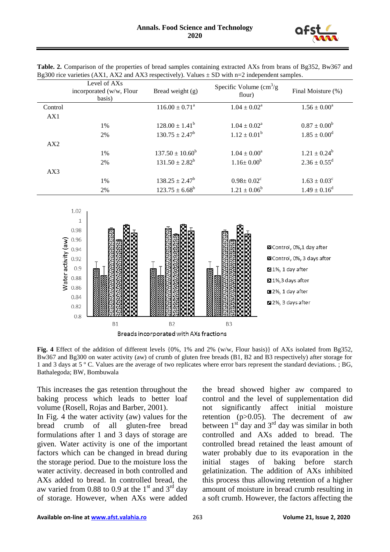

| Table. 2. Comparison of the properties of bread samples containing extracted AXs from brans of Bg352, Bw367 and |  |
|-----------------------------------------------------------------------------------------------------------------|--|
| Bg300 rice varieties (AX1, AX2 and AX3 respectively). Values $\pm$ SD with n=2 independent samples.             |  |

|         | Level of AXs<br>incorporated (w/w, Flour<br>basis) | Bread weight $(g)$        | Specific Volume $\text{cm}^3\text{/g}$<br>flour) | Final Moisture (%)         |
|---------|----------------------------------------------------|---------------------------|--------------------------------------------------|----------------------------|
| Control |                                                    | $116.00 \pm 0.71^{\circ}$ | $1.04 \pm 0.02^{\text{a}}$                       | $1.56 \pm 0.00^{\circ}$    |
| AX1     |                                                    |                           |                                                  |                            |
|         | 1%                                                 | $128.00 \pm 1.41^b$       | $1.04 \pm 0.02^{\text{a}}$                       | $0.87 \pm 0.00^b$          |
|         | 2%                                                 | $130.75 \pm 2.47^{\rm b}$ | $1.12 \pm 0.01^{\rm b}$                          | $1.85 \pm 0.00^d$          |
| AX2     |                                                    |                           |                                                  |                            |
|         | 1%                                                 | $137.50 \pm 10.60^b$      | $1.04 \pm 0.00^a$                                | $1.21 \pm 0.24^b$          |
|         | 2%                                                 | $131.50 \pm 2.82^b$       | $1.16 \pm 0.00^b$                                | $2.36 \pm 0.55^{\text{d}}$ |
| AX3     |                                                    |                           |                                                  |                            |
|         | 1%                                                 | $138.25 \pm 2.47^b$       | $0.98 \pm 0.02^{\circ}$                          | $1.63 \pm 0.03^{\circ}$    |
|         | 2%                                                 | $123.75 \pm 6.68^b$       | $1.21 \pm 0.06^b$                                | $1.49 \pm 0.16^d$          |



**Fig. 4** Effect of the addition of different levels {0%, 1% and 2% (w/w, Flour basis)} of AXs isolated from Bg352, Bw367 and Bg300 on water activity (aw) of crumb of gluten free breads (B1, B2 and B3 respectively) after storage for 1 and 3 days at 5 º C. Values are the average of two replicates where error bars represent the standard deviations. ; BG, Bathalegoda; BW, Bombuwala

This increases the gas retention throughout the baking process which leads to better loaf volume (Rosell, Rojas and Barber, 2001).

In Fig. 4 the water activity (aw) values for the bread crumb of all gluten-free bread formulations after 1 and 3 days of storage are given. Water activity is one of the important factors which can be changed in bread during the storage period. Due to the moisture loss the water activity. decreased in both controlled and AXs added to bread. In controlled bread, the aw varied from 0.88 to 0.9 at the  $1<sup>st</sup>$  and  $3<sup>rd</sup>$  day of storage. However, when AXs were added

the bread showed higher aw compared to control and the level of supplementation did not significantly affect initial moisture retention (p>0.05). The decrement of aw between  $1<sup>st</sup>$  day and  $3<sup>rd</sup>$  day was similar in both controlled and AXs added to bread. The controlled bread retained the least amount of water probably due to its evaporation in the initial stages of baking before starch gelatinization. The addition of AXs inhibited this process thus allowing retention of a higher amount of moisture in bread crumb resulting in a soft crumb. However, the factors affecting the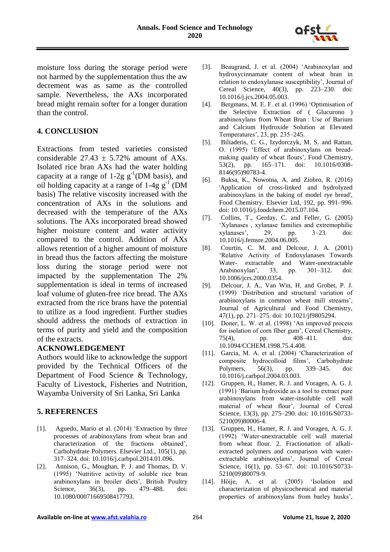

moisture loss during the storage period were not harmed by the supplementation thus the aw decrement was as same as the controlled sample. Nevertheless, the AXs incorporated bread might remain softer for a longer duration than the control.

## **4. CONCLUSION**

Extractions from tested varieties consisted considerable  $27.43 \pm 5.72\%$  amount of AXs. Isolated rice bran AXs had the water holding capacity at a range of  $1-2g g^{-1}(DM basis)$ , and oil holding capacity at a range of  $1-4g g^{-1}$  (DM basis) The relative viscosity increased with the concentration of AXs in the solutions and decreased with the temperature of the AXs solutions. The AXs incorporated bread showed higher moisture content and water activity compared to the control. Addition of AXs allows retention of a higher amount of moisture in bread thus the factors affecting the moisture loss during the storage period were not impacted by the supplementation The 2% supplementation is ideal in terms of increased loaf volume of gluten-free rice bread. The AXs extracted from the rice brans have the potential to utilize as a food ingredient. Further studies should address the methods of extraction in terms of purity and yield and the composition of the extracts.

## **ACKNOWLEDGEMENT**

Authors would like to acknowledge the support provided by the Technical Officers of the Department of Food Science & Technology, Faculty of Livestock, Fisheries and Nutrition, Wayamba University of Sri Lanka, Sri Lanka

## **5. REFERENCES**

- [1]. Aguedo, Mario et al. (2014) 'Extraction by three processes of arabinoxylans from wheat bran and characterization of the fractions obtained', Carbohydrate Polymers. Elsevier Ltd., 105(1), pp. 317–324. doi: 10.1016/j.carbpol.2014.01.096.
- [2]. Annison, G., Moughan, P. J. and Thomas, D. V. (1995) 'Nutritive activity of soluble rice bran arabinoxylans in broiler diets', British Poultry Science, 36(3), pp. 479–488. doi: 10.1080/00071669508417793.
- [3]. Beaugrand, J. et al. (2004) 'Arabinoxylan and hydroxycinnamate content of wheat bran in relation to endoxylanase susceptibility', Journal of Cereal Science, 40(3), pp. 223–230. doi: 10.1016/j.jcs.2004.05.003.
- [4]. Bergmans, M. E. F. et al. (1996) 'Optimisation of the Selective Extraction of ( Glucurono ) arabinoxylans from Wheat Bran : Use of Barium and Calcium Hydroxide Solution at Elevated Temperatures', 23, pp. 235–245.
- [5]. Biliaderis, C. G., Izydorczyk, M. S. and Rattan, O. (1995) 'Effect of arabinoxylans on breadmaking quality of wheat flours', Food Chemistry, 53(2), pp. 165–171. doi: 10.1016/0308- 8146(95)90783-4.
- [6]. Buksa, K., Nowotna, A. and Ziobro, R. (2016) 'Application of cross-linked and hydrolyzed arabinoxylans in the baking of model rye bread', Food Chemistry. Elsevier Ltd, 192, pp. 991–996. doi: 10.1016/j.foodchem.2015.07.104.
- [7]. Collins, T., Gerday, C. and Feller, G. (2005) 'Xylanases , xylanase families and extremophilic xylanases', 29, pp. 3–23. doi: 10.1016/j.femsre.2004.06.005.
- [8]. Courtin, C. M. and Delcour, J. A. (2001) 'Relative Activity of Endoxylanases Towards Water- extractable and Water-unextractable Arabinoxylan', 33, pp. 301–312. doi: 10.1006/jcrs.2000.0354.
- [9]. Delcour, J. A., Van Win, H. and Grobet, P. J. (1999) 'Distribution and structural variation of arabinoxylans in common wheat mill streams', Journal of Agricultural and Food Chemistry, 47(1), pp. 271–275. doi: 10.1021/jf9805294.
- [10]. Doner, L. W. et al. (1998) 'An improved process for isolation of corn fiber gum', Cereal Chemistry, 75(4), pp. 408–411. doi: 10.1094/CCHEM.1998.75.4.408.
- [11]. García, M. A. et al. (2004) 'Characterization of composite hydrocolloid films', Carbohydrate Polymers, 56(3), pp. 339–345. doi: 10.1016/j.carbpol.2004.03.003.
- [12]. Gruppen, H., Hamer, R. J. and Voragen, A. G. J. (1991) 'Barium hydroxide as a tool to extract pure arabinoxylans from water-insoluble cell wall material of wheat flour', Journal of Cereal Science, 13(3), pp. 275–290. doi: 10.1016/S0733- 5210(09)80006-4.
- [13]. Gruppen, H., Hamer, R. J. and Voragen, A. G. J. (1992) 'Water-unextractable cell wall material from wheat flour. 2. Fractionation of alkaliextracted polymers and comparison with waterextractable arabinoxylans', Journal of Cereal Science, 16(1), pp. 53–67. doi: 10.1016/S0733- 5210(09)80079-9.
- [14]. Höije, A. et al. (2005) 'Isolation and characterization of physicochemical and material properties of arabinoxylans from barley husks',